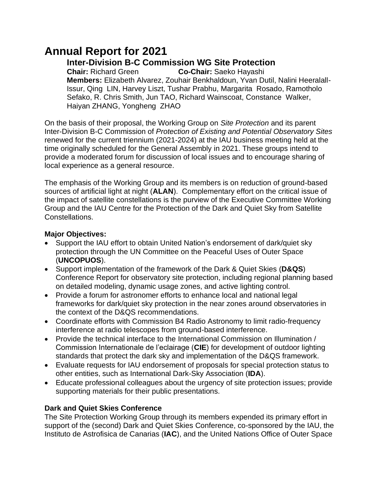# **Annual Report for 2021**

**Inter-Division B-C Commission WG Site Protection** 

**Chair:** Richard Green **Co-Chair:** Saeko Hayashi **Members:** Elizabeth Alvarez, Zouhair Benkhaldoun, Yvan Dutil, Nalini Heeralall-Issur, Qing LIN, Harvey Liszt, Tushar Prabhu, Margarita Rosado, Ramotholo Sefako, R. Chris Smith, Jun TAO, Richard Wainscoat, Constance Walker, Haiyan ZHANG, Yongheng ZHAO

On the basis of their proposal, the Working Group on *Site Protection* and its parent Inter-Division B-C Commission of *Protection of Existing and Potential Observatory Sites* renewed for the current triennium (2021-2024) at the IAU business meeting held at the time originally scheduled for the General Assembly in 2021. These groups intend to provide a moderated forum for discussion of local issues and to encourage sharing of local experience as a general resource.

The emphasis of the Working Group and its members is on reduction of ground-based sources of artificial light at night (**ALAN**). Complementary effort on the critical issue of the impact of satellite constellations is the purview of the Executive Committee Working Group and the IAU Centre for the Protection of the Dark and Quiet Sky from Satellite Constellations.

## **Major Objectives:**

- Support the IAU effort to obtain United Nation's endorsement of dark/quiet sky protection through the UN Committee on the Peaceful Uses of Outer Space (**UNCOPUOS**).
- Support implementation of the framework of the Dark & Quiet Skies (**D&QS**) Conference Report for observatory site protection, including regional planning based on detailed modeling, dynamic usage zones, and active lighting control.
- Provide a forum for astronomer efforts to enhance local and national legal frameworks for dark/quiet sky protection in the near zones around observatories in the context of the D&QS recommendations.
- Coordinate efforts with Commission B4 Radio Astronomy to limit radio-frequency interference at radio telescopes from ground-based interference.
- Provide the technical interface to the International Commission on Illumination / Commission Internationale de l'eclairage (**CIE**) for development of outdoor lighting standards that protect the dark sky and implementation of the D&QS framework.
- Evaluate requests for IAU endorsement of proposals for special protection status to other entities, such as International Dark-Sky Association (**IDA**).
- Educate professional colleagues about the urgency of site protection issues; provide supporting materials for their public presentations.

# **Dark and Quiet Skies Conference**

The Site Protection Working Group through its members expended its primary effort in support of the (second) Dark and Quiet Skies Conference, co-sponsored by the IAU, the Instituto de Astrofisica de Canarias (**IAC**), and the United Nations Office of Outer Space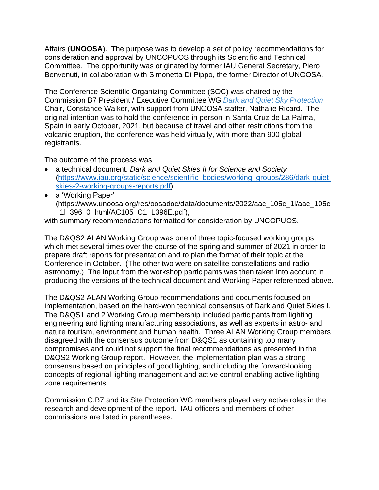Affairs (**UNOOSA**). The purpose was to develop a set of policy recommendations for consideration and approval by UNCOPUOS through its Scientific and Technical Committee. The opportunity was originated by former IAU General Secretary, Piero Benvenuti, in collaboration with Simonetta Di Pippo, the former Director of UNOOSA.

The Conference Scientific Organizing Committee (SOC) was chaired by the Commission B7 President / Executive Committee WG *[Dark and Quiet Sky Protection](https://www.iau.org/science/scientific_bodies/working_groups/286/)* Chair, Constance Walker, with support from UNOOSA staffer, Nathalie Ricard. The original intention was to hold the conference in person in Santa Cruz de La Palma, Spain in early October, 2021, but because of travel and other restrictions from the volcanic eruption, the conference was held virtually, with more than 900 global registrants.

The outcome of the process was

- a technical document, *Dark and Quiet Skies II for Science and Society*  [\(https://www.iau.org/static/science/scientific\\_bodies/working\\_groups/286/dark-quiet](https://www.iau.org/static/science/scientific_bodies/working_groups/286/dark-quiet-skies-2-working-groups-reports.pdf)[skies-2-working-groups-reports.pdf\)](https://www.iau.org/static/science/scientific_bodies/working_groups/286/dark-quiet-skies-2-working-groups-reports.pdf),
- a 'Working Paper' (https://www.unoosa.org/res/oosadoc/data/documents/2022/aac\_105c\_1l/aac\_105c \_1l\_396\_0\_html/AC105\_C1\_L396E.pdf),

with summary recommendations formatted for consideration by UNCOPUOS.

The D&QS2 ALAN Working Group was one of three topic-focused working groups which met several times over the course of the spring and summer of 2021 in order to prepare draft reports for presentation and to plan the format of their topic at the Conference in October. (The other two were on satellite constellations and radio astronomy.) The input from the workshop participants was then taken into account in producing the versions of the technical document and Working Paper referenced above.

The D&QS2 ALAN Working Group recommendations and documents focused on implementation, based on the hard-won technical consensus of Dark and Quiet Skies I. The D&QS1 and 2 Working Group membership included participants from lighting engineering and lighting manufacturing associations, as well as experts in astro- and nature tourism, environment and human health. Three ALAN Working Group members disagreed with the consensus outcome from D&QS1 as containing too many compromises and could not support the final recommendations as presented in the D&QS2 Working Group report. However, the implementation plan was a strong consensus based on principles of good lighting, and including the forward-looking concepts of regional lighting management and active control enabling active lighting zone requirements.

Commission C.B7 and its Site Protection WG members played very active roles in the research and development of the report. IAU officers and members of other commissions are listed in parentheses.